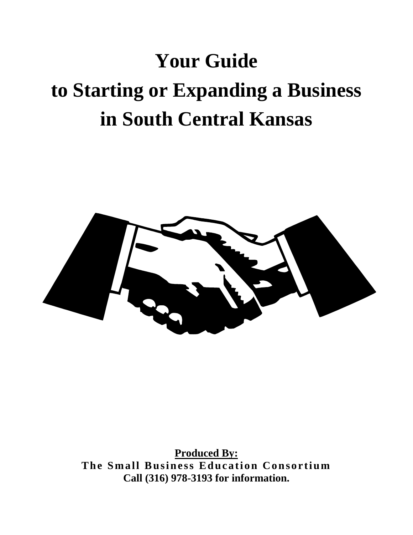# **Your Guide to Starting or Expanding a Business in South Central Kansas**



**Produced By: The Small Business Education Consortium Call (316) 978-3193 for information.**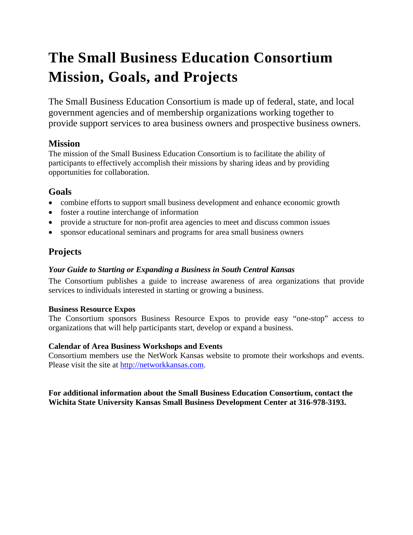## **The Small Business Education Consortium Mission, Goals, and Projects**

The Small Business Education Consortium is made up of federal, state, and local government agencies and of membership organizations working together to provide support services to area business owners and prospective business owners.

### **Mission**

The mission of the Small Business Education Consortium is to facilitate the ability of participants to effectively accomplish their missions by sharing ideas and by providing opportunities for collaboration.

### **Goals**

- combine efforts to support small business development and enhance economic growth
- foster a routine interchange of information
- provide a structure for non-profit area agencies to meet and discuss common issues
- sponsor educational seminars and programs for area small business owners

### **Projects**

### *Your Guide to Starting or Expanding a Business in South Central Kansas*

The Consortium publishes a guide to increase awareness of area organizations that provide services to individuals interested in starting or growing a business.

### **Business Resource Expos**

The Consortium sponsors Business Resource Expos to provide easy "one-stop" access to organizations that will help participants start, develop or expand a business.

### **Calendar of Area Business Workshops and Events**

Consortium members use the NetWork Kansas website to promote their workshops and events. Please visit the site at [http://networkkansas.com.](http://networkkansas.com/)

### **For additional information about the Small Business Education Consortium, contact the Wichita State University Kansas Small Business Development Center at 316-978-3193.**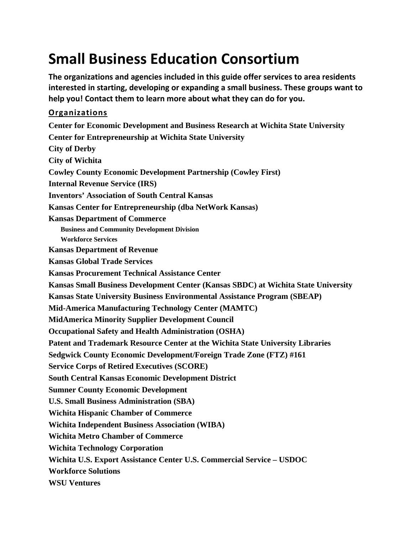## **Small Business Education Consortium**

**The organizations and agencies included in this guide offer services to area residents interested in starting, developing or expanding a small business. These groups want to help you! Contact them to learn more about what they can do for you.**

### **Organizations**

**Center for Economic Development and Business Research at Wichita State University Center for Entrepreneurship at Wichita State University City of Derby City of Wichita Cowley County Economic Development Partnership (Cowley First) Internal Revenue Service (IRS) Inventors' Association of South Central Kansas Kansas Center for Entrepreneurship (dba NetWork Kansas) Kansas Department of Commerce Business and Community Development Division Workforce Services Kansas Department of Revenue Kansas Global Trade Services Kansas Procurement Technical Assistance Center Kansas Small Business Development Center (Kansas SBDC) at Wichita State University Kansas State University Business Environmental Assistance Program (SBEAP) Mid-America Manufacturing Technology Center (MAMTC) MidAmerica Minority Supplier Development Council Occupational Safety and Health Administration (OSHA) Patent and Trademark Resource Center at the Wichita State University Libraries Sedgwick County Economic Development/Foreign Trade Zone (FTZ) #161 Service Corps of Retired Executives (SCORE) South Central Kansas Economic Development District Sumner County Economic Development U.S. Small Business Administration (SBA) Wichita Hispanic Chamber of Commerce Wichita Independent Business Association (WIBA) Wichita Metro Chamber of Commerce Wichita Technology Corporation Wichita U.S. Export Assistance Center U.S. Commercial Service – USDOC Workforce Solutions WSU Ventures**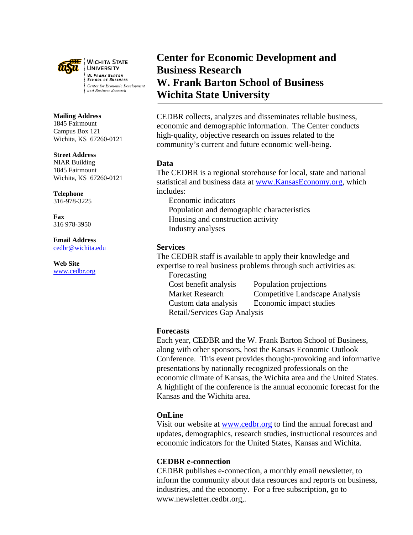

**WICHITA STATE UNIVERSITY W. FRANK BARTON SCHOOL OF BUSINESS** Center for Economic Development and Business Research

#### **Mailing Address**

1845 Fairmount Campus Box 121 Wichita, KS 67260-0121

#### **Street Address**

NIAR Building 1845 Fairmount Wichita, KS 67260-0121

**Telephone** 316-978-3225

**Fax** 316 978-3950

### **Email Address**

[cedbr@wichita.edu](mailto:cedbr@wichita.edu)

**Web Site** [www.cedbr.org](http://www.cedbr.org/)

### **Center for Economic Development and Business Research W. Frank Barton School of Business Wichita State University**

CEDBR collects, analyzes and disseminates reliable business, economic and demographic information. The Center conducts high-quality, objective research on issues related to the community's current and future economic well-being.

### **Data**

The CEDBR is a regional storehouse for local, state and national statistical and business data at [www.KansasEconomy.org,](http://www.kansaseconomy.org/) which includes:

Economic indicators Population and demographic characteristics Housing and construction activity Industry analyses

### **Services**

The CEDBR staff is available to apply their knowledge and expertise to real business problems through such activities as: Forecasting

Cost benefit analysis Population projections Retail/Services Gap Analysis

Market Research Competitive Landscape Analysis Custom data analysis Economic impact studies

### **Forecasts**

Each year, CEDBR and the W. Frank Barton School of Business, along with other sponsors, host the Kansas Economic Outlook Conference. This event provides thought-provoking and informative presentations by nationally recognized professionals on the economic climate of Kansas, the Wichita area and the United States. A highlight of the conference is the annual economic forecast for the Kansas and the Wichita area.

### **OnLine**

Visit our website at [www.cedbr.org](http://www.cedbr.org/) to find the annual forecast and updates, demographics, research studies, instructional resources and economic indicators for the United States, Kansas and Wichita.

### **CEDBR e-connection**

CEDBR publishes e-connection, a monthly email newsletter, to inform the community about data resources and reports on business, industries, and the economy. For a free subscription, go to www.newsletter.cedbr.org,.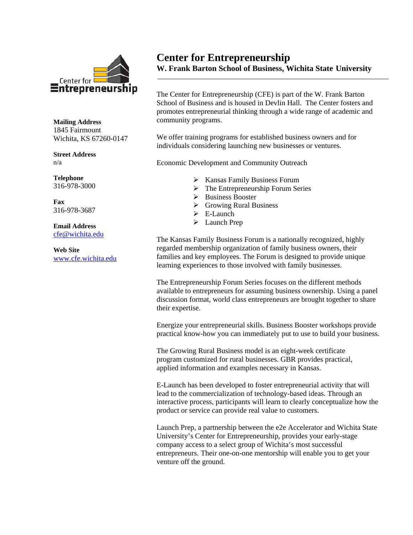

**Mailing Address** 1845 Fairmount Wichita, KS 67260-0147

**Street Address** n/a

**Telephone** 316-978-3000

**Fax** 316-978-3687

**Email Address** [cfe@wichita.edu](mailto:cfe@wichita.edu)

**Web Site** [www.cfe.wichita.edu](http://www.cfe.wichita.edu/)

### **Center for Entrepreneurship W. Frank Barton School of Business, Wichita State University**

The Center for Entrepreneurship (CFE) is part of the W. Frank Barton School of Business and is housed in Devlin Hall. The Center fosters and promotes entrepreneurial thinking through a wide range of academic and community programs.

We offer training programs for established business owners and for individuals considering launching new businesses or ventures.

Economic Development and Community Outreach

- $\triangleright$  Kansas Family Business Forum
- $\triangleright$  The Entrepreneurship Forum Series
- > Business Booster
- **►** Growing Rural Business
- $\triangleright$  E-Launch
- > Launch Prep

The Kansas Family Business Forum is a nationally recognized, highly regarded membership organization of family business owners, their families and key employees. The Forum is designed to provide unique learning experiences to those involved with family businesses.

The Entrepreneurship Forum Series focuses on the different methods available to entrepreneurs for assuming business ownership. Using a panel discussion format, world class entrepreneurs are brought together to share their expertise.

Energize your entrepreneurial skills. Business Booster workshops provide practical know-how you can immediately put to use to build your business.

The Growing Rural Business model is an eight-week certificate program customized for rural businesses. GBR provides practical, applied information and examples necessary in Kansas.

E-Launch has been developed to foster entrepreneurial activity that will lead to the commercialization of technology-based ideas. Through an interactive process, participants will learn to clearly conceptualize how the product or service can provide real value to customers.

Launch Prep, a partnership between the e2e Accelerator and Wichita State University's Center for Entrepreneurship, provides your early-stage company access to a select group of Wichita's most successful entrepreneurs. Their one-on-one mentorship will enable you to get your venture off the ground.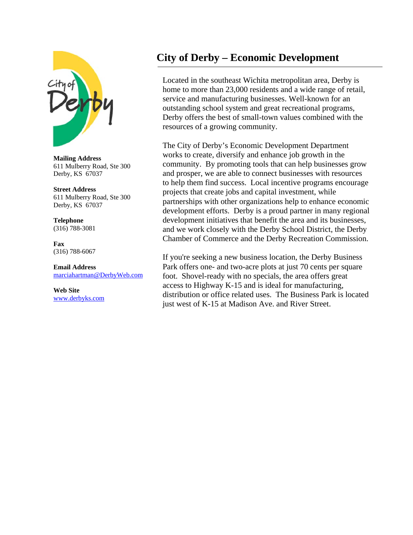

**Mailing Address** 611 Mulberry Road, Ste 300 Derby, KS 67037

**Street Address** 611 Mulberry Road, Ste 300 Derby, KS 67037

**Telephone** (316) 788-3081

**Fax** (316) 788-6067

**Email Address** [marciahartman@DerbyWeb.com](mailto:marciahartman@DerbyWeb.com)

**Web Site** [www.derbyks.com](http://www.derbyks.com/)

### **City of Derby – Economic Development**

Located in the southeast Wichita metropolitan area, Derby is home to more than 23,000 residents and a wide range of retail, service and manufacturing businesses. Well-known for an outstanding school system and great recreational programs, Derby offers the best of small-town values combined with the resources of a growing community.

The City of Derby's Economic Development Department works to create, diversify and enhance job growth in the community. By promoting tools that can help businesses grow and prosper, we are able to connect businesses with resources to help them find success. Local incentive programs encourage projects that create jobs and capital investment, while partnerships with other organizations help to enhance economic development efforts. Derby is a proud partner in many regional development initiatives that benefit the area and its businesses, and we work closely with the Derby School District, the Derby Chamber of Commerce and the Derby Recreation Commission.

If you're seeking a new business location, the Derby Business Park offers one- and two-acre plots at just 70 cents per square foot. Shovel-ready with no specials, the area offers great access to Highway K-15 and is ideal for manufacturing, distribution or office related uses. The Business Park is located just west of K-15 at Madison Ave. and River Street.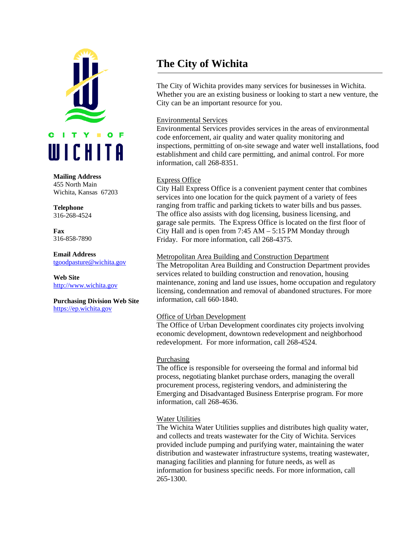

#### **Mailing Address**

455 North Main Wichita, Kansas 67203

**Telephone** 316-268-4524

**Fax** 316-858-7890

**Email Address** [tgoodpasture@wichita.gov](mailto:tgoodpasture@wichita.gov)

**Web Site** [http://www.wichita.gov](http://www.wichita.gov/CityOffices/CityManager/Urban/)

**Purchasing Division Web Site** [https://ep.wichita.gov](https://ep.wichita.gov/)

### **The City of Wichita**

The City of Wichita provides many services for businesses in Wichita. Whether you are an existing business or looking to start a new venture, the City can be an important resource for you.

### Environmental Services

Environmental Services provides services in the areas of environmental code enforcement, air quality and water quality monitoring and inspections, permitting of on-site sewage and water well installations, food establishment and child care permitting, and animal control. For more information, call 268-8351.

### Express Office

City Hall Express Office is a convenient payment center that combines services into one location for the quick payment of a variety of fees ranging from traffic and parking tickets to water bills and bus passes. The office also assists with dog licensing, business licensing, and garage sale permits. The Express Office is located on the first floor of City Hall and is open from 7:45 AM – 5:15 PM Monday through Friday. For more information, call 268-4375.

### Metropolitan Area Building and Construction Department

The Metropolitan Area Building and Construction Department provides services related to building construction and renovation, housing maintenance, zoning and land use issues, home occupation and regulatory licensing, condemnation and removal of abandoned structures. For more information, call 660-1840.

#### Office of Urban Development

The Office of Urban Development coordinates city projects involving economic development, downtown redevelopment and neighborhood redevelopment. For more information, call 268-4524.

#### Purchasing

The office is responsible for overseeing the formal and informal bid process, negotiating blanket purchase orders, managing the overall procurement process, registering vendors, and administering the Emerging and Disadvantaged Business Enterprise program. For more information, call 268-4636.

### Water Utilities

The Wichita Water Utilities supplies and distributes high quality water, and collects and treats wastewater for the City of Wichita. Services provided include pumping and purifying water, maintaining the water distribution and wastewater infrastructure systems, treating wastewater, managing facilities and planning for future needs, as well as information for business specific needs. For more information, call 265-1300.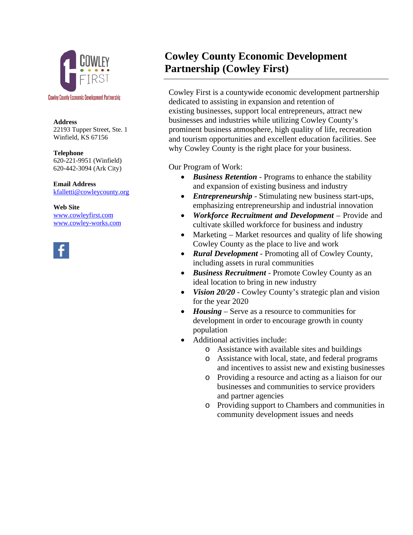

#### **Address**

22193 Tupper Street, Ste. 1 Winfield, KS 67156

**Telephone** 620-221-9951 (Winfield) 620-442-3094 (Ark City)

**Email Address** [kfalletti@cowleycounty.org](mailto:kfalletti@cowleycounty.org)

**Web Site** [www.cowleyfirst.com](http://www.cowleyfirst.com/) [www.cowley-works.com](http://www.cowley-works.com/)



### **Cowley County Economic Development Partnership (Cowley First)**

Cowley First is a countywide economic development partnership dedicated to assisting in expansion and retention of existing businesses, support local entrepreneurs, attract new businesses and industries while utilizing Cowley County's prominent business atmosphere, high quality of life, recreation and tourism opportunities and excellent education facilities. See why Cowley County is the right place for your business.

Our Program of Work:

- *Business Retention* Programs to enhance the stability and expansion of existing business and industry
- *Entrepreneurship* Stimulating new business start-ups, emphasizing entrepreneurship and industrial innovation
- *Workforce Recruitment and Development* Provide and cultivate skilled workforce for business and industry
- Marketing Market resources and quality of life showing Cowley County as the place to live and work
- *Rural Development* Promoting all of Cowley County, including assets in rural communities
- *Business Recruitment* Promote Cowley County as an ideal location to bring in new industry
- *Vision 20/20* Cowley County's strategic plan and vision for the year 2020
- *Housing* Serve as a resource to communities for development in order to encourage growth in county population
- Additional activities include:
	- o Assistance with available sites and buildings
	- o Assistance with local, state, and federal programs and incentives to assist new and existing businesses
	- o Providing a resource and acting as a liaison for our businesses and communities to service providers and partner agencies
	- o Providing support to Chambers and communities in community development issues and needs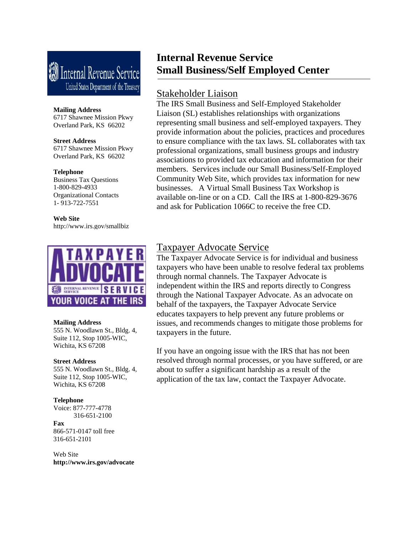## **W** Internal Revenue Service United States Department of the Treasury

#### **Mailing Address**

6717 Shawnee Mission Pkwy Overland Park, KS 66202

#### **Street Address**

6717 Shawnee Mission Pkwy Overland Park, KS 66202

#### **Telephone**

Business Tax Questions 1-800-829-4933 Organizational Contacts 1- 913-722-7551

**Web Site** http://www.irs.gov/smallbiz



#### **Mailing Address**

555 N. Woodlawn St., Bldg. 4, Suite 112, Stop 1005-WIC, Wichita, KS 67208

#### **Street Address**

555 N. Woodlawn St., Bldg. 4, Suite 112, Stop 1005-WIC, Wichita, KS 67208

#### **Telephone**

Voice: 877-777-4778 316-651-2100

#### **Fax**

866-571-0147 toll free 316-651-2101

Web Site **http://www.irs.gov/advocate**

### **Internal Revenue Service Small Business/Self Employed Center**

### Stakeholder Liaison

The IRS Small Business and Self-Employed Stakeholder Liaison (SL) establishes relationships with organizations representing small business and self-employed taxpayers. They provide information about the policies, practices and procedures to ensure compliance with the tax laws. SL collaborates with tax professional organizations, small business groups and industry associations to provided tax education and information for their members. Services include our Small Business/Self-Employed Community Web Site, which provides tax information for new businesses. A Virtual Small Business Tax Workshop is available on-line or on a CD. Call the IRS at 1-800-829-3676 and ask for Publication 1066C to receive the free CD.

### Taxpayer Advocate Service

The Taxpayer Advocate Service is for individual and business taxpayers who have been unable to resolve federal tax problems through normal channels. The Taxpayer Advocate is independent within the IRS and reports directly to Congress through the National Taxpayer Advocate. As an advocate on behalf of the taxpayers, the Taxpayer Advocate Service educates taxpayers to help prevent any future problems or issues, and recommends changes to mitigate those problems for taxpayers in the future.

If you have an ongoing issue with the IRS that has not been resolved through normal processes, or you have suffered, or are about to suffer a significant hardship as a result of the application of the tax law, contact the Taxpayer Advocate.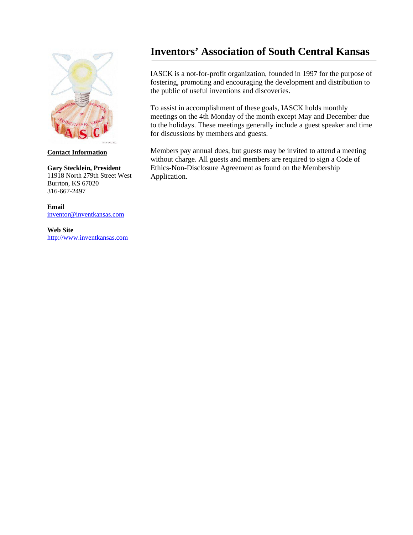

### **Contact Information**

#### **Gary Stecklein, President** 11918 North 279th Street West Burrton, KS 67020 316-667-2497

**Email** [inventor@inventkansas.com](mailto:inventor@inventkansas.com)

**Web Site** [http://www.inventkansas.com](http://www.inventkansas.com/)

### **Inventors' Association of South Central Kansas**

IASCK is a not-for-profit organization, founded in 1997 for the purpose of fostering, promoting and encouraging the development and distribution to the public of useful inventions and discoveries.

To assist in accomplishment of these goals, IASCK holds monthly meetings on the 4th Monday of the month except May and December due to the holidays. These meetings generally include a guest speaker and time for discussions by members and guests.

Members pay annual dues, but guests may be invited to attend a meeting without charge. All guests and members are required to sign a Code of Ethics-Non-Disclosure Agreement as found on the Membership Application.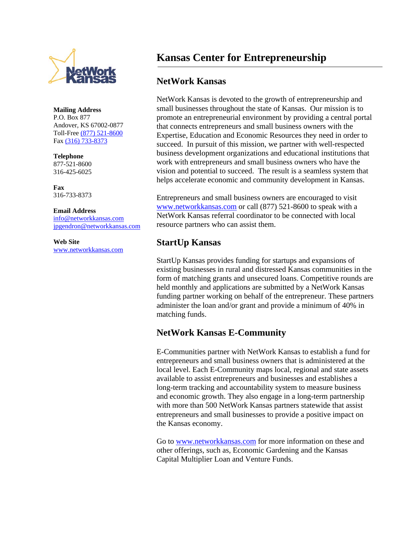

**Mailing Address** P.O. Box 877 Andover, KS 67002-0877 Toll-Free [\(877\) 521-8600](tel:%28877%29%20521-8600) Fax [\(316\) 733-8373](tel:%28316%29%20733-8373)

**Telephone** 877-521-8600

316-425-6025

**Fax** 316-733-8373

#### **Email Address**

[info@networkkansas.com](mailto:info@networkkansas.com) [jpgendron@networkkansas.com](mailto:jpgendron@networkkansas.com)

**Web Site** [www.networkkansas.com](http://www.networkkansas.com/)

### **Kansas Center for Entrepreneurship**

### **NetWork Kansas**

NetWork Kansas is devoted to the growth of entrepreneurship and small businesses throughout the state of Kansas. Our mission is to promote an entrepreneurial environment by providing a central portal that connects entrepreneurs and small business owners with the Expertise, Education and Economic Resources they need in order to succeed. In pursuit of this mission, we partner with well-respected business development organizations and educational institutions that work with entrepreneurs and small business owners who have the vision and potential to succeed. The result is a seamless system that helps accelerate economic and community development in Kansas.

Entrepreneurs and small business owners are encouraged to visit [www.networkkansas.com](http://www.networkkansas.com/) or call (877) 521-8600 to speak with a NetWork Kansas referral coordinator to be connected with local resource partners who can assist them.

### **StartUp Kansas**

StartUp Kansas provides funding for startups and expansions of existing businesses in rural and distressed Kansas communities in the form of matching grants and unsecured loans. Competitive rounds are held monthly and applications are submitted by a NetWork Kansas funding partner working on behalf of the entrepreneur. These partners administer the loan and/or grant and provide a minimum of 40% in matching funds.

### **NetWork Kansas E-Community**

E-Communities partner with NetWork Kansas to establish a fund for entrepreneurs and small business owners that is administered at the local level. Each E-Community maps local, regional and state assets available to assist entrepreneurs and businesses and establishes a long-term tracking and accountability system to measure business and economic growth. They also engage in a long-term partnership with more than 500 NetWork Kansas partners statewide that assist entrepreneurs and small businesses to provide a positive impact on the Kansas economy.

Go to [www.networkkansas.com](http://www.networkkansas.com/) for more information on these and other offerings, such as, Economic Gardening and the Kansas Capital Multiplier Loan and Venture Funds.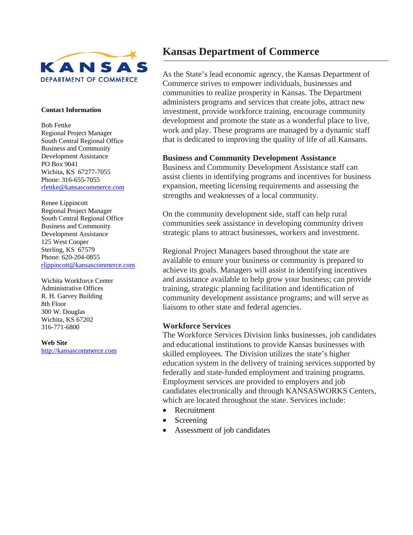

#### **Contact Information**

Bob Fettke Regional Project Manager South Central Regional Office Business and Community Development Assistance PO Box 9041 Wichita, KS 67277-7055 Phone: 316-655-7055 [rfettke@kansascommerce.com](mailto:rfettke@kansascommerce.com)

Renee Lippincott Regional Project Manager South Central Regional Office Business and Community Development Assistance 125 West Cooper Sterling, KS 67579 Phone: 620-204-0855 [rlippincott@kansascommerce.com](mailto:rlippincott@kansascommerce.com)

Wichita Workforce Center Administrative Offices R. H. Garvey Building 8th Floor 300 W. Douglas Wichita, KS 67202 316-771-6800

**Web Site** [http://kansascommerce.com](http://kansascommerce.com/)

### **Kansas Department of Commerce**

As the State's lead economic agency, the Kansas Department of Commerce strives to empower individuals, businesses and communities to realize prosperity in Kansas. The Department administers programs and services that create jobs, attract new investment, provide workforce training, encourage community development and promote the state as a wonderful place to live, work and play. These programs are managed by a dynamic staff that is dedicated to improving the quality of life of all Kansans.

### **Business and Community Development Assistance**

Business and Community Development Assistance staff can assist clients in identifying programs and incentives for business expansion, meeting licensing requirements and assessing the strengths and weaknesses of a local community.

On the community development side, staff can help rural communities seek assistance in developing community driven strategic plans to attract businesses, workers and investment.

Regional Project Managers based throughout the state are available to ensure your business or community is prepared to achieve its goals. Managers will assist in identifying incentives and assistance available to help grow your business; can provide training, strategic planning facilitation and identification of community development assistance programs; and will serve as liaisons to other state and federal agencies.

### **Workforce Services**

The Workforce Services Division links businesses, job candidates and educational institutions to provide Kansas businesses with skilled employees. The Division utilizes the state's higher education system in the delivery of training services supported by federally and state-funded employment and training programs. Employment services are provided to employers and job candidates electronically and through KANSASWORKS Centers, which are located throughout the state. Services include:

- Recruitment
- **Screening**
- Assessment of job candidates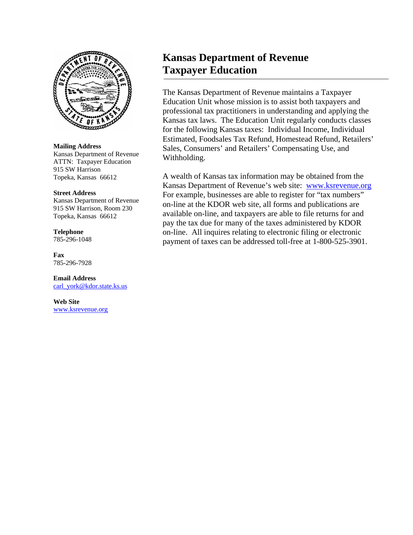

**Mailing Address** Kansas Department of Revenue ATTN: Taxpayer Education 915 SW Harrison Topeka, Kansas 66612

#### **Street Address**

Kansas Department of Revenue 915 SW Harrison, Room 230 Topeka, Kansas 66612

### **Telephone**

785-296-1048

**Fax** 785-296-7928

#### **Email Address**

[carl\\_york@kdor.state.ks.us](mailto:carl_york@kdor.state.ks.us)

**Web Site** [www.ksrevenue.org](http://www.ksrevenue.org/)

### **Kansas Department of Revenue Taxpayer Education**

The Kansas Department of Revenue maintains a Taxpayer Education Unit whose mission is to assist both taxpayers and professional tax practitioners in understanding and applying the Kansas tax laws. The Education Unit regularly conducts classes for the following Kansas taxes: Individual Income, Individual Estimated, Foodsales Tax Refund, Homestead Refund, Retailers' Sales, Consumers' and Retailers' Compensating Use, and Withholding.

A wealth of Kansas tax information may be obtained from the Kansas Department of Revenue's web site: [www.ksrevenue.org](http://www.ksrevenue.org/)  For example, businesses are able to register for "tax numbers" on-line at the KDOR web site, all forms and publications are available on-line, and taxpayers are able to file returns for and pay the tax due for many of the taxes administered by KDOR on-line. All inquires relating to electronic filing or electronic payment of taxes can be addressed toll-free at 1-800-525-3901.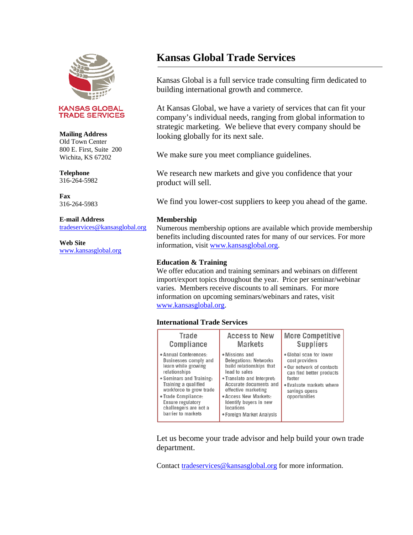

#### **KANSAS GLOBAL TRADE SERVICES**

#### **Mailing Address**

Old Town Center 800 E. First, Suite 200 Wichita, KS 67202

#### **Telephone** 316-264-5982

**Fax** 316-264-5983

#### **E-mail Address**

[tradeservices@kansasglobal.org](mailto:tradeservices@kansasglobal.org)

### **Web Site**

[www.kansasglobal.org](http://www.kansasglobal.org/)

### **Kansas Global Trade Services**

Kansas Global is a full service trade consulting firm dedicated to building international growth and commerce.

At Kansas Global, we have a variety of services that can fit your company's individual needs, ranging from global information to strategic marketing. We believe that every company should be looking globally for its next sale.

We make sure you meet compliance guidelines.

We research new markets and give you confidence that your product will sell.

We find you lower-cost suppliers to keep you ahead of the game.

### **Membership**

Numerous membership options are available which provide membership benefits including discounted rates for many of our services. For more information, visit [www.kansasglobal.org.](http://www.kansasglobal.org/)

### **Education & Training**

We offer education and training seminars and webinars on different import/export topics throughout the year. Price per seminar/webinar varies. Members receive discounts to all seminars. For more information on upcoming seminars/webinars and rates, visit [www.kansasglobal.org.](http://www.kansasglobal.org/)

### **International Trade Services**

| <b>Trade</b><br>Compliance                                                                                                                                                                                                                                                     | <b>Access to New</b><br><b>Markets</b>                                                                                                                                                                                                                                  | <b>More Competitive</b><br><b>Suppliers</b>                                                                                                                                |
|--------------------------------------------------------------------------------------------------------------------------------------------------------------------------------------------------------------------------------------------------------------------------------|-------------------------------------------------------------------------------------------------------------------------------------------------------------------------------------------------------------------------------------------------------------------------|----------------------------------------------------------------------------------------------------------------------------------------------------------------------------|
| • Annual Conferences:<br><b>Businesses comply and</b><br>learn while growing<br>relationships<br>• Seminars and Training:<br>Training a qualified<br>workforce to grow trade<br>• Trade Compliance:<br><b>Ensure regulatory</b><br>challengers are not a<br>barrier to markets | • Missions and<br><b>Delegations: Networks</b><br>build relationships that<br>lead to sales<br>• Translate and Interpret:<br>Accurate documents and<br>effective marketing<br>• Access New Markets:<br>Identify buyers in new<br>locations<br>• Foreign Market Analysis | • Global scan for lower<br>cost providers<br>. Our network of contacts<br>can find better products<br>faster<br>. Evaluate markets where<br>savings opens<br>opportunities |

Let us become your trade advisor and help build your own trade department.

Contact [tradeservices@kansasglobal.org](mailto:tradeservices@kansasglobal.org) for more information.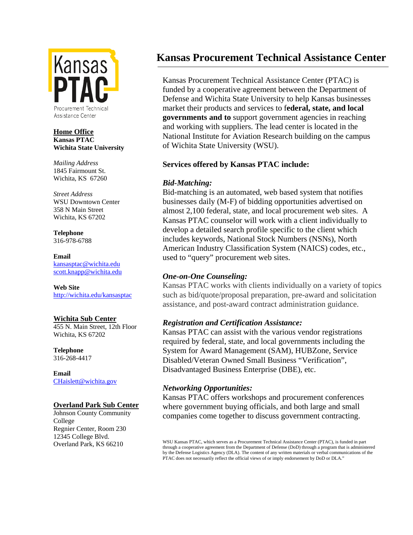

### **Home Office Kansas PTAC Wichita State University**

*Mailing Address* 1845 Fairmount St. Wichita, KS 67260

*Street Address* WSU Downtown Center 358 N Main Street Wichita, KS 67202

**Telephone** 316-978-6788

**Email** [kansasptac@wichita.edu](mailto:kansasptac@wichita.edu) [scott.knapp@wichita.edu](mailto:scott.knapp@wichita.edu)

**Web Site** <http://wichita.edu/kansasptac>

### **Wichita Sub Center**

455 N. Main Street, 12th Floor Wichita, KS 67202

**Telephone** 316-268-4417

**Email** [CHaislett@wichita.gov](mailto:CHaislett@wichita.gov)

### **Overland Park Sub Center**

Johnson County Community College Regnier Center, Room 230 12345 College Blvd. Overland Park, KS 66210

### **Kansas Procurement Technical Assistance Center**

Kansas Procurement Technical Assistance Center (PTAC) is funded by a cooperative agreement between the Department of Defense and Wichita State University to help Kansas businesses market their products and services to f**ederal, state, and local governments and to** support government agencies in reaching and working with suppliers. The lead center is located in the National Institute for Aviation Research building on the campus of Wichita State University (WSU).

### **Services offered by Kansas PTAC include:**

### *Bid-Matching:*

Bid-matching is an automated, web based system that notifies businesses daily (M-F) of bidding opportunities advertised on almost 2,100 federal, state, and local procurement web sites. A Kansas PTAC counselor will work with a client individually to develop a detailed search profile specific to the client which includes keywords, National Stock Numbers (NSNs), North American Industry Classification System (NAICS) codes, etc., used to "query" procurement web sites.

### *One-on-One Counseling:*

Kansas PTAC works with clients individually on a variety of topics such as bid/quote/proposal preparation, pre-award and solicitation assistance, and post-award contract administration guidance.

### *Registration and Certification Assistance:*

Kansas PTAC can assist with the various vendor registrations required by federal, state, and local governments including the System for Award Management (SAM), HUBZone, Service Disabled/Veteran Owned Small Business "Verification", Disadvantaged Business Enterprise (DBE), etc.

### *Networking Opportunities:*

Kansas PTAC offers workshops and procurement conferences where government buying officials, and both large and small companies come together to discuss government contracting.

WSU Kansas PTAC, which serves as a Procurement Technical Assistance Center (PTAC), is funded in part through a cooperative agreement from the Department of Defense (DoD) through a program that is administered by the Defense Logistics Agency (DLA). The content of any written materials or verbal communications of the PTAC does not necessarily reflect the official views of or imply endorsement by DoD or DLA."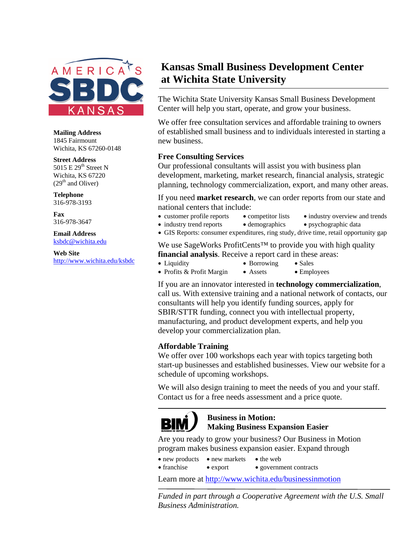

**Mailing Address** 1845 Fairmount Wichita, KS 67260-0148

**Street Address** 5015 E 29<sup>th</sup> Street N Wichita, KS 67220

 $(29<sup>th</sup>$  and Oliver) **Telephone**

316-978-3193 **Fax**

316-978-3647 **Email Address**

[ksbdc@wichita.edu](mailto:ksbdc@wichita.edu)

**Web Site** <http://www.wichita.edu/ksbdc>

### **Kansas Small Business Development Center at Wichita State University**

The Wichita State University Kansas Small Business Development Center will help you start, operate, and grow your business.

We offer free consultation services and affordable training to owners of established small business and to individuals interested in starting a new business.

### **Free Consulting Services**

Our professional consultants will assist you with business plan development, marketing, market research, financial analysis, strategic planning, technology commercialization, export, and many other areas.

If you need **market research**, we can order reports from our state and national centers that include:

- customer profile reports competitor lists industry overview and trends
- industry trend reports demographics psychographic data
- GIS Reports: consumer expenditures, ring study, drive time, retail opportunity gap

We use SageWorks ProfitCents™ to provide you with high quality **financial analysis**. Receive a report card in these areas:

- Liquidity Borrowing Sales
- Profits & Profit Margin Assets Employees

If you are an innovator interested in **technology commercialization**, call us. With extensive training and a national network of contacts, our consultants will help you identify funding sources, apply for SBIR/STTR funding, connect you with intellectual property, manufacturing, and product development experts, and help you develop your commercialization plan.

### **Affordable Training**

We offer over 100 workshops each year with topics targeting both start-up businesses and established businesses. View our website for a schedule of upcoming workshops.

We will also design training to meet the needs of you and your staff. Contact us for a free needs assessment and a price quote.



### **Business in Motion: Making Business Expansion Easier**

Are you ready to grow your business? Our Business in Motion program makes business expansion easier. Expand through

- new products new markets the web
- franchise export government contracts

Learn more at<http://www.wichita.edu/businessinmotion>

*Funded in part through a Cooperative Agreement with the U.S. Small Business Administration.*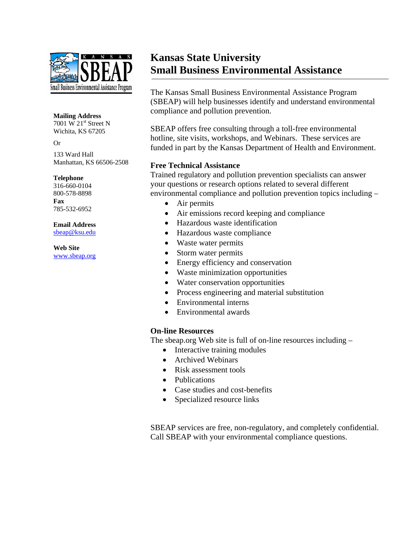

#### **Mailing Address**

7001 W 21<sup>st</sup> Street N Wichita, KS 67205

#### Or

133 Ward Hall Manhattan, KS 66506-2508

#### **Telephone**

316-660-0104 800-578-8898 **Fax** 785-532-6952

### **Email Address**

[sbeap@ksu.edu](mailto:sbeap@ksu.edu)

**Web Site** [www.sbeap.org](http://www.sbeap.org/)

### **Kansas State University Small Business Environmental Assistance**

The Kansas Small Business Environmental Assistance Program (SBEAP) will help businesses identify and understand environmental compliance and pollution prevention.

SBEAP offers free consulting through a toll-free environmental hotline, site visits, workshops, and Webinars. These services are funded in part by the Kansas Department of Health and Environment.

### **Free Technical Assistance**

Trained regulatory and pollution prevention specialists can answer your questions or research options related to several different environmental compliance and pollution prevention topics including –

- Air permits
- Air emissions record keeping and compliance
- Hazardous waste identification
- Hazardous waste compliance
- Waste water permits
- Storm water permits
- Energy efficiency and conservation
- Waste minimization opportunities
- Water conservation opportunities
- Process engineering and material substitution
- Environmental interns
- Environmental awards

### **On-line Resources**

The sbeap.org Web site is full of on-line resources including –

- Interactive training modules
- Archived Webinars
- Risk assessment tools
- Publications
- Case studies and cost-benefits
- Specialized resource links

SBEAP services are free, non-regulatory, and completely confidential. Call SBEAP with your environmental compliance questions.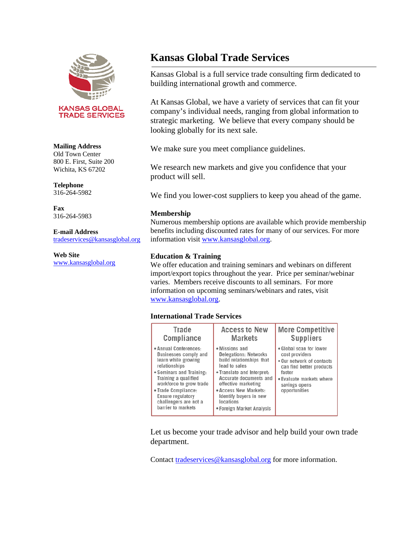

**KANSAS GLOBAL TRADE SERVICES** 

#### **Mailing Address**

Old Town Center 800 E. First, Suite 200 Wichita, KS 67202

### **Telephone**

316-264-5982

**Fax** 316-264-5983

#### **E-mail Address**

[tradeservices@kansasglobal.org](mailto:tradeservices@kansasglobal.org)

#### **Web Site**

[www.kansasglobal.org](http://www.kansasglobal.org/)

### **Kansas Global Trade Services**

Kansas Global is a full service trade consulting firm dedicated to building international growth and commerce.

At Kansas Global, we have a variety of services that can fit your company's individual needs, ranging from global information to strategic marketing. We believe that every company should be looking globally for its next sale.

We make sure you meet compliance guidelines.

We research new markets and give you confidence that your product will sell.

We find you lower-cost suppliers to keep you ahead of the game.

### **Membership**

Numerous membership options are available which provide membership benefits including discounted rates for many of our services. For more information visit [www.kansasglobal.org.](http://www.kansasglobal.org/)

### **Education & Training**

We offer education and training seminars and webinars on different import/export topics throughout the year. Price per seminar/webinar varies. Members receive discounts to all seminars. For more information on upcoming seminars/webinars and rates, visit [www.kansasglobal.org.](http://www.kansasglobal.org/)

### **International Trade Services**

| <b>Trade</b>                                                                                                                                                                                                                                                             | <b>Access to New</b>                                                                                                                                                                                                                                                    | <b>More Competitive</b>                                                                                                                                                    |
|--------------------------------------------------------------------------------------------------------------------------------------------------------------------------------------------------------------------------------------------------------------------------|-------------------------------------------------------------------------------------------------------------------------------------------------------------------------------------------------------------------------------------------------------------------------|----------------------------------------------------------------------------------------------------------------------------------------------------------------------------|
| Compliance                                                                                                                                                                                                                                                               | <b>Markets</b>                                                                                                                                                                                                                                                          | <b>Suppliers</b>                                                                                                                                                           |
| Annual Conferences:<br><b>Businesses comply and</b><br>learn while growing<br>relationships<br>Seminars and Training:<br>Training a qualified<br>workforce to grow trade<br>Trade Compliance:<br><b>Ensure regulatory</b><br>challengers are not a<br>barrier to markets | • Missions and<br><b>Delegations: Networks</b><br>build relationships that<br>lead to sales<br>• Translate and Interpret:<br>Accurate documents and<br>effective marketing<br>• Access New Markets:<br>Identify buyers in new<br>locations<br>• Foreign Market Analysis | • Global scan for lower<br>cost providers<br>. Our network of contacts<br>can find better products<br>faster<br>• Evaluate markets where<br>savings opens<br>opportunities |

Let us become your trade advisor and help build your own trade department.

Contact [tradeservices@kansasglobal.org](mailto:tradeservices@kansasglobal.org) for more information.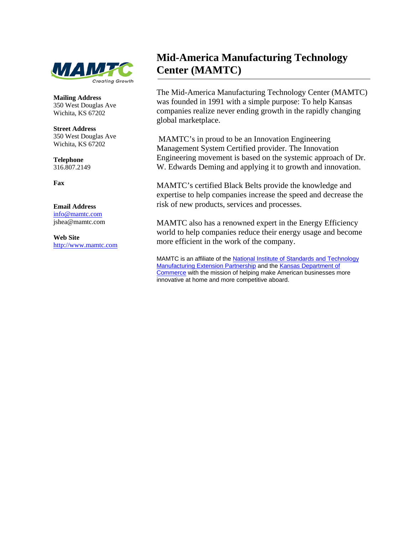

**Mailing Address** 350 West Douglas Ave Wichita, KS 67202

**Street Address** 350 West Douglas Ave Wichita, KS 67202

**Telephone** 316.807.2149

**Fax**

#### **Email Address**

[info@mamtc.com](mailto:info@mamtc.com) jshea@mamtc.com

**Web Site** [http://www.mamtc.com](http://www.mamtc.com/)

### **Mid-America Manufacturing Technology Center (MAMTC)**

The Mid-America Manufacturing Technology Center (MAMTC) was founded in 1991 with a simple purpose: To help Kansas companies realize never ending growth in the rapidly changing global marketplace.

MAMTC's in proud to be an Innovation Engineering Management System Certified provider. The Innovation Engineering movement is based on the systemic approach of Dr. W. Edwards Deming and applying it to growth and innovation.

MAMTC's certified Black Belts provide the knowledge and expertise to help companies increase the speed and decrease the risk of new products, services and processes.

MAMTC also has a renowned expert in the Energy Efficiency world to help companies reduce their energy usage and become more efficient in the work of the company.

MAMTC is an affiliate of the [National Institute of Standards and Technology](http://www.mamtc.com/topic/NIST-MEP-KTEC.aspx#NIST)  [Manufacturing Extension Partnership](http://www.mamtc.com/topic/NIST-MEP-KTEC.aspx#NIST) and the [Kansas Department of](http://www.mamtc.com/topic/NIST-MEP-KTEC.aspx#KTEC)  [Commerce](http://www.mamtc.com/topic/NIST-MEP-KTEC.aspx#KTEC) with the mission of helping make American businesses more innovative at home and more competitive aboard.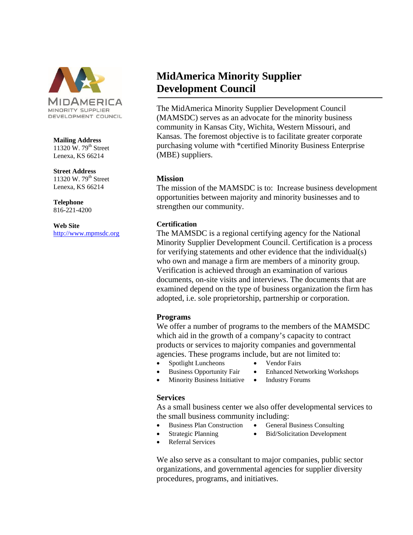

#### **Mailing Address**

11320 W.  $79<sup>th</sup>$  Street Lenexa, KS 66214

**Street Address**

11320 W.  $79<sup>th</sup>$  Street Lenexa, KS 66214

**Telephone** 816-221-4200

**Web Site** [http://www.mpmsdc.org](http://www.mpmsdc.org/)

### **MidAmerica Minority Supplier Development Council**

The MidAmerica Minority Supplier Development Council (MAMSDC) serves as an advocate for the minority business community in Kansas City, Wichita, Western Missouri, and Kansas. The foremost objective is to facilitate greater corporate purchasing volume with \*certified Minority Business Enterprise (MBE) suppliers.

### **Mission**

The mission of the MAMSDC is to: Increase business development opportunities between majority and minority businesses and to strengthen our community.

### **Certification**

The MAMSDC is a regional certifying agency for the National Minority Supplier Development Council. Certification is a process for verifying statements and other evidence that the individual(s) who own and manage a firm are members of a minority group. Verification is achieved through an examination of various documents, on-site visits and interviews. The documents that are examined depend on the type of business organization the firm has adopted, i.e. sole proprietorship, partnership or corporation.

### **Programs**

We offer a number of programs to the members of the MAMSDC which aid in the growth of a company's capacity to contract products or services to majority companies and governmental agencies. These programs include, but are not limited to:

- Spotlight Luncheons Vendor Fairs
	-
	- Business Opportunity Fair Enhanced Networking Workshops
- Minority Business Initiative Industry Forums

### **Services**

As a small business center we also offer developmental services to the small business community including:

- Business Plan Construction General Business Consulting
	-
	- Strategic Planning Bid/Solicitation Development
- Referral Services

We also serve as a consultant to major companies, public sector organizations, and governmental agencies for supplier diversity procedures, programs, and initiatives.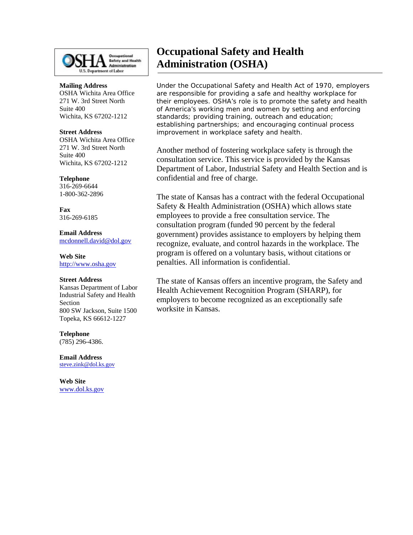

#### **Mailing Address** OSHA Wichita Area Office 271 W. 3rd Street North

Suite 400 Wichita, KS 67202-1212

#### **Street Address**

OSHA Wichita Area Office 271 W. 3rd Street North Suite 400 Wichita, KS 67202-1212

#### **Telephone**

316-269-6644 1-800-362-2896

**Fax** 316-269-6185

**Email Address** [mcdonnell.david@dol.gov](mailto:mcdonnell.david@dol.gov)

**Web Site** [http://www.osha.gov](http://www.osha.gov/)

#### **Street Address**

Kansas Department of Labor Industrial Safety and Health Section 800 SW Jackson, Suite 1500 Topeka, KS 66612-1227

### **Telephone**

(785) 296-4386.

**Email Address** [steve.zink@dol.ks.gov](mailto:steve.zink@dol.ks.gov)

**Web Site** www.dol.ks.gov

### **Occupational Safety and Health Administration (OSHA)**

Under the Occupational Safety and Health Act of 1970, employers are responsible for providing a safe and healthy workplace for their employees. OSHA's role is to promote the safety and health of America's working men and women by setting and enforcing standards; providing training, outreach and education; establishing partnerships; and encouraging continual process improvement in workplace safety and health.

Another method of fostering workplace safety is through the consultation service. This service is provided by the Kansas Department of Labor, Industrial Safety and Health Section and is confidential and free of charge.

The state of Kansas has a contract with the federal Occupational Safety & Health Administration (OSHA) which allows state employees to provide a free consultation service. The consultation program (funded 90 percent by the federal government) provides assistance to employers by helping them recognize, evaluate, and control hazards in the workplace. The program is offered on a voluntary basis, without citations or penalties. All information is confidential.

The state of Kansas offers an incentive program, the Safety and Health Achievement Recognition Program (SHARP), for employers to become recognized as an exceptionally safe worksite in Kansas.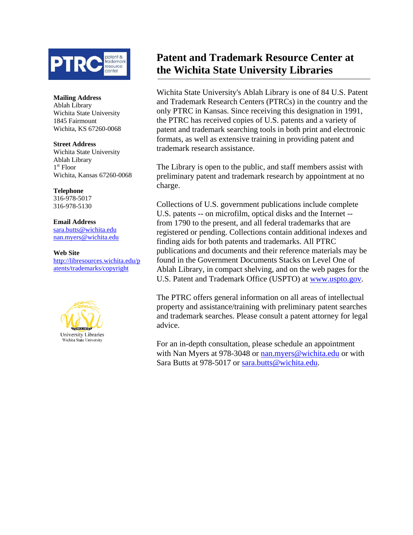

#### **Mailing Address**

Ablah Library Wichita State University 1845 Fairmount Wichita, KS 67260-0068

#### **Street Address**

Wichita State University Ablah Library 1st Floor Wichita, Kansas 67260-0068

**Telephone** 316-978-5017

316-978-5130

#### **Email Address**

[sara.butts@wichita.edu](mailto:sara.butts@wichita.edu) [nan.myers@wichita.edu](mailto:nan.myers@wichita.edu)

### **Web Site**

[http://libresources.wichita.edu/p](http://libresources.wichita.edu/patents/trademarks/copyright) [atents/trademarks/copyright](http://libresources.wichita.edu/patents/trademarks/copyright)



### **Patent and Trademark Resource Center at the Wichita State University Libraries**

Wichita State University's Ablah Library is one of 84 U.S. Patent and Trademark Research Centers (PTRCs) in the country and the only PTRC in Kansas. Since receiving this designation in 1991, the PTRC has received copies of U.S. patents and a variety of patent and trademark searching tools in both print and electronic formats, as well as extensive training in providing patent and trademark research assistance.

The Library is open to the public, and staff members assist with preliminary patent and trademark research by appointment at no charge.

Collections of U.S. government publications include complete U.S. patents -- on microfilm, optical disks and the Internet - from 1790 to the present, and all federal trademarks that are registered or pending. Collections contain additional indexes and finding aids for both patents and trademarks. All PTRC publications and documents and their reference materials may be found in the Government Documents Stacks on Level One of Ablah Library, in compact shelving, and on the web pages for the U.S. Patent and Trademark Office (USPTO) at [www.uspto.gov.](http://www.uspto.gov/)

The PTRC offers general information on all areas of intellectual property and assistance/training with preliminary patent searches and trademark searches. Please consult a patent attorney for legal advice.

For an in-depth consultation, please schedule an appointment with Nan Myers at 978-3048 or [nan.myers@wichita.edu](mailto:nan.myers@wichita.edu) or with Sara Butts at 978-5017 or [sara.butts@wichita.edu.](mailto:sara.butts@wichita.edu)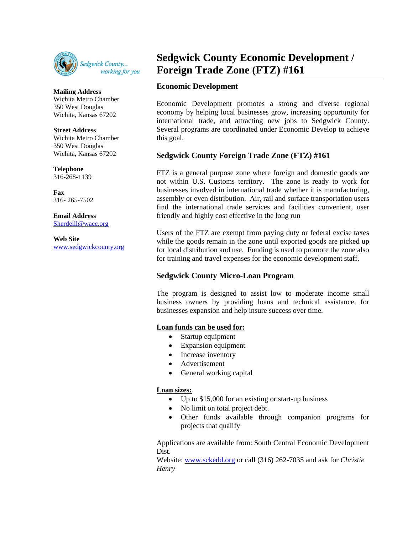

**Mailing Address** Wichita Metro Chamber 350 West Douglas Wichita, Kansas 67202

### **Street Address**

Wichita Metro Chamber 350 West Douglas Wichita, Kansas 67202

**Telephone**

316-268-1139

**Fax** 316- 265-7502

**Email Address** [Sherdeill@wacc.org](mailto:Sherdeill@wacc.org)

**Web Site** [www.sedgwickcounty.org](http://www.sedgwickcounty.org/)

### **Sedgwick County Economic Development / Foreign Trade Zone (FTZ) #161**

### **Economic Development**

Economic Development promotes a strong and diverse regional economy by helping local businesses grow, increasing opportunity for international trade, and attracting new jobs to Sedgwick County. Several programs are coordinated under Economic Develop to achieve this goal.

### **Sedgwick County Foreign Trade Zone (FTZ) #161**

FTZ is a general purpose zone where foreign and domestic goods are not within U.S. Customs territory. The zone is ready to work for businesses involved in international trade whether it is manufacturing, assembly or even distribution. Air, rail and surface transportation users find the international trade services and facilities convenient, user friendly and highly cost effective in the long run

Users of the FTZ are exempt from paying duty or federal excise taxes while the goods remain in the zone until exported goods are picked up for local distribution and use. Funding is used to promote the zone also for training and travel expenses for the economic development staff.

### **Sedgwick County Micro-Loan Program**

The program is designed to assist low to moderate income small business owners by providing loans and technical assistance, for businesses expansion and help insure success over time.

### **Loan funds can be used for:**

- Startup equipment
- Expansion equipment
- Increase inventory
- Advertisement
- General working capital

### **Loan sizes:**

• Up to \$15,000 for an existing or start-up business

- No limit on total project debt.
- Other funds available through companion programs for projects that qualify

Applications are available from: South Central Economic Development Dist.

Website: [www.sckedd.org](http://www.sckedd.org/) or call (316) 262-7035 and ask for *Christie Henry*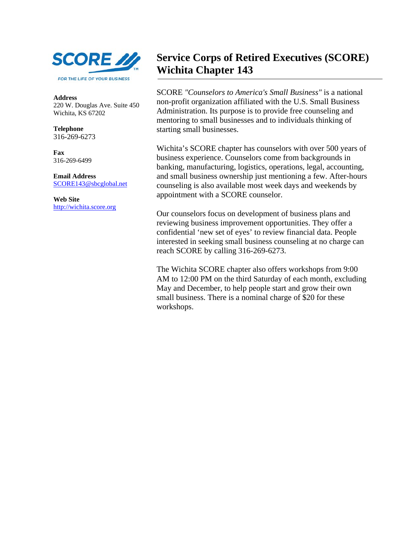

**Address** 220 W. Douglas Ave. Suite 450 Wichita, KS 67202

**Telephone** 316-269-6273

**Fax** 316-269-6499

**Email Address** [SCORE143@sbcglobal.net](mailto:SCORE143@sbcglobal.net)

**Web Site** [http://wichita.score.org](http://wichita.score.org/)

### **Service Corps of Retired Executives (SCORE) Wichita Chapter 143**

SCORE *"Counselors to America's Small Business"* is a national non-profit organization affiliated with the U.S. Small Business Administration. Its purpose is to provide free counseling and mentoring to small businesses and to individuals thinking of starting small businesses.

Wichita's SCORE chapter has counselors with over 500 years of business experience. Counselors come from backgrounds in banking, manufacturing, logistics, operations, legal, accounting, and small business ownership just mentioning a few. After-hours counseling is also available most week days and weekends by appointment with a SCORE counselor.

Our counselors focus on development of business plans and reviewing business improvement opportunities. They offer a confidential 'new set of eyes' to review financial data. People interested in seeking small business counseling at no charge can reach SCORE by calling 316-269-6273.

The Wichita SCORE chapter also offers workshops from 9:00 AM to 12:00 PM on the third Saturday of each month, excluding May and December, to help people start and grow their own small business. There is a nominal charge of \$20 for these workshops.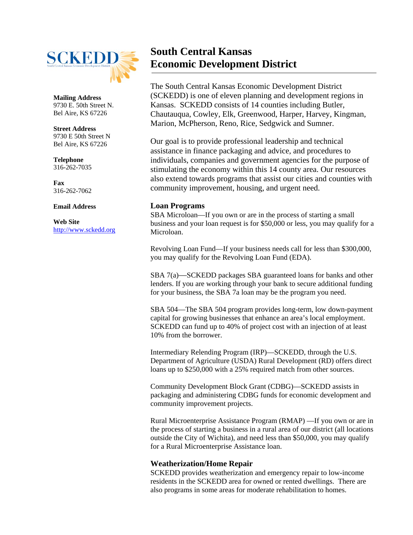

**Mailing Address** 9730 E. 50th Street N. Bel Aire, KS 67226

**Street Address** 9730 E 50th Street N Bel Aire, KS 67226

**Telephone** 316-262-7035

**Fax** 316-262-7062

**Email Address**

**Web Site** [http://www.sckedd.org](http://www.sckedd.org/)

### **South Central Kansas Economic Development District**

The South Central Kansas Economic Development District (SCKEDD) is one of eleven planning and development regions in Kansas. SCKEDD consists of 14 counties including Butler, Chautauqua, Cowley, Elk, Greenwood, Harper, Harvey, Kingman, Marion, McPherson, Reno, Rice, Sedgwick and Sumner.

Our goal is to provide professional leadership and technical assistance in finance packaging and advice, and procedures to individuals, companies and government agencies for the purpose of stimulating the economy within this 14 county area. Our resources also extend towards programs that assist our cities and counties with community improvement, housing, and urgent need.

### **Loan Programs**

SBA Microloan—If you own or are in the process of starting a small business and your loan request is for \$50,000 or less, you may qualify for a Microloan.

Revolving Loan Fund—If your business needs call for less than \$300,000, you may qualify for the Revolving Loan Fund (EDA).

SBA 7(a)—SCKEDD packages SBA guaranteed loans for banks and other lenders. If you are working through your bank to secure additional funding for your business, the SBA 7a loan may be the program you need.

SBA 504—The SBA 504 program provides long-term, low down-payment capital for growing businesses that enhance an area's local employment. SCKEDD can fund up to 40% of project cost with an injection of at least 10% from the borrower.

Intermediary Relending Program (IRP)—SCKEDD, through the U.S. Department of Agriculture (USDA) Rural Development (RD) offers direct loans up to \$250,000 with a 25% required match from other sources.

Community Development Block Grant (CDBG)—SCKEDD assists in packaging and administering CDBG funds for economic development and community improvement projects.

Rural Microenterprise Assistance Program (RMAP) —If you own or are in the process of starting a business in a rural area of our district (all locations outside the City of Wichita), and need less than \$50,000, you may qualify for a Rural Microenterprise Assistance loan.

### **Weatherization/Home Repair**

SCKEDD provides weatherization and emergency repair to low-income residents in the SCKEDD area for owned or rented dwellings. There are also programs in some areas for moderate rehabilitation to homes.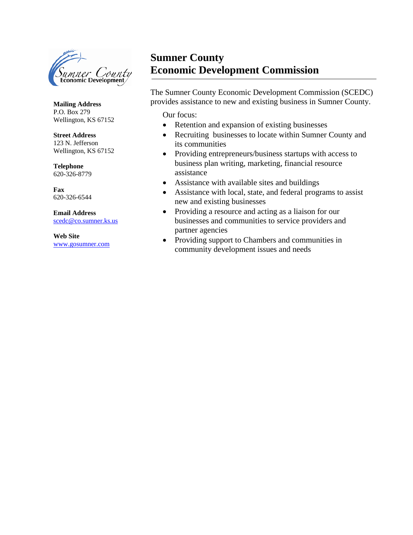

**Mailing Address** P.O. Box 279 Wellington, KS 67152

#### **Street Address** 123 N. Jefferson Wellington, KS 67152

**Telephone** 620-326-8779

**Fax** 620-326-6544

**Email Address** [scedc@co.sumner.ks.us](mailto:scedc@co.sumner.ks.us)

**Web Site** [www.gosumner.com](http://www.gosumner.com/)

### **Sumner County Economic Development Commission**

The Sumner County Economic Development Commission (SCEDC) provides assistance to new and existing business in Sumner County.

Our focus:

- Retention and expansion of existing businesses
- Recruiting businesses to locate within Sumner County and its communities
- Providing entrepreneurs/business startups with access to business plan writing, marketing, financial resource assistance
- Assistance with available sites and buildings
- Assistance with local, state, and federal programs to assist new and existing businesses
- Providing a resource and acting as a liaison for our businesses and communities to service providers and partner agencies
- Providing support to Chambers and communities in community development issues and needs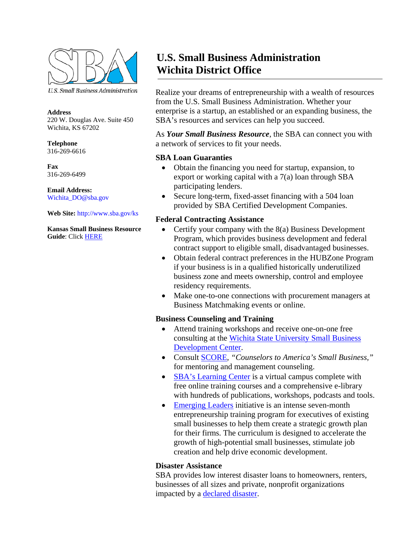

U.S. Small Business Administration

#### **Address** 220 W. Douglas Ave. Suite 450 Wichita, KS 67202

**Telephone** 316-269-6616

**Fax** 316-269-6499

**Email Address:**  Wichita\_DO@sba.gov

### **Web Site:** http://www.sba.gov/ks

**Kansas Small Business Resource Guide**: Click [HERE](http://www.sba.gov/sites/default/files/files/resourceguide_3117.pdf) 

### **U.S. Small Business Administration Wichita District Office**

Realize your dreams of entrepreneurship with a wealth of resources from the U.S. Small Business Administration. Whether your enterprise is a startup, an established or an expanding business, the SBA's resources and services can help you succeed.

As *Your Small Business Resource*, the SBA can connect you with a network of services to fit your needs.

### **SBA Loan Guaranties**

- Obtain the financing you need for startup, expansion, to export or working capital with a 7(a) loan through SBA participating lenders.
- Secure long-term, fixed-asset financing with a 504 loan provided by SBA Certified Development Companies.

### **Federal Contracting Assistance**

- Certify your company with the 8(a) Business Development Program, which provides business development and federal contract support to eligible small, disadvantaged businesses.
- Obtain federal contract preferences in the HUBZone Program if your business is in a qualified historically underutilized business zone and meets ownership, control and employee residency requirements.
- Make one-to-one connections with procurement managers at Business Matchmaking events or online.

### **Business Counseling and Training**

- Attend training workshops and receive one-on-one free consulting at the [Wichita State University Small Business](http://webs.wichita.edu/?u=ksbdc&p=/index)  [Development Center.](http://webs.wichita.edu/?u=ksbdc&p=/index)
- Consult [SCORE,](https://wichita.score.org/) *"Counselors to America's Small Business,"* for mentoring and management counseling.
- [SBA's Learning Center](http://www.sba.gov/tools/sba-learning-center) is a virtual campus complete with free online training courses and a comprehensive e-library with hundreds of publications, workshops, podcasts and tools.
- [Emerging Leaders](http://www.sba.gov/about-sba/sba_initiatives/sba_emerging_leaders_initiative) initiative is an intense seven-month entrepreneurship training program for executives of existing small businesses to help them create a strategic growth plan for their firms. The curriculum is designed to accelerate the growth of high-potential small businesses, stimulate job creation and help drive economic development.

### **Disaster Assistance**

SBA provides low interest disaster loans to homeowners, renters, businesses of all sizes and private, nonprofit organizations impacted by a [declared disaster.](http://www.sba.gov/offices/disaster/dacsc)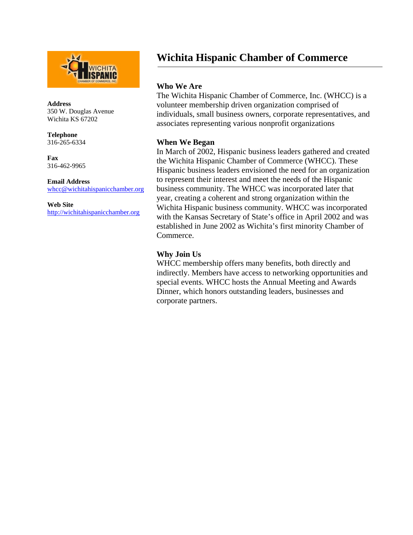

**Address** 350 W. Douglas Avenue Wichita KS 67202

**Telephone** 316-265-6334

**Fax** 316-462-9965

**Email Address** [whcc@wichitahispanicchamber.org](mailto:whcc@wichitahispanicchamber.org)

**Web Site** [http://wichitahispanicchamber.org](http://wichitahispanicchamber.org/)

### **Wichita Hispanic Chamber of Commerce**

### **Who We Are**

The Wichita Hispanic Chamber of Commerce, Inc. (WHCC) is a volunteer membership driven organization comprised of individuals, small business owners, corporate representatives, and associates representing various nonprofit organizations

### **When We Began**

In March of 2002, Hispanic business leaders gathered and created the Wichita Hispanic Chamber of Commerce (WHCC). These Hispanic business leaders envisioned the need for an organization to represent their interest and meet the needs of the Hispanic business community. The WHCC was incorporated later that year, creating a coherent and strong organization within the Wichita Hispanic business community. WHCC was incorporated with the Kansas Secretary of State's office in April 2002 and was established in June 2002 as Wichita's first minority Chamber of Commerce.

### **Why Join Us**

WHCC membership offers many benefits, both directly and indirectly. Members have access to networking opportunities and special events. WHCC hosts the Annual Meeting and Awards Dinner, which honors outstanding leaders, businesses and corporate partners.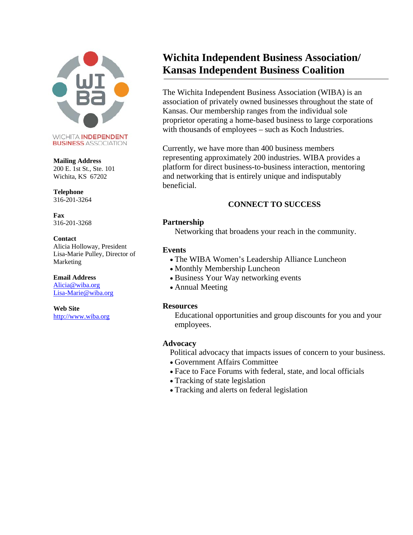

**BUSINESS ASSOCIATION** 

#### **Mailing Address**

200 E. 1st St., Ste. 101 Wichita, KS 67202

**Telephone** 316-201-3264

**Fax** 316-201-3268

**Contact** Alicia Holloway, President Lisa-Marie Pulley, Director of Marketing

**Email Address** [Alicia@wiba.org](mailto:Alicia@wiba.org)

[Lisa-Marie@wiba.org](mailto:Lisa-Marie@wiba.org)

**Web Site** [http://www.wiba.org](http://www.wiba.org/)

### **Wichita Independent Business Association/ Kansas Independent Business Coalition**

The Wichita Independent Business Association (WIBA) is an association of privately owned businesses throughout the state of Kansas. Our membership ranges from the individual sole proprietor operating a home-based business to large corporations with thousands of employees – such as Koch Industries.

Currently, we have more than 400 business members representing approximately 200 industries. WIBA provides a platform for direct business-to-business interaction, mentoring and networking that is entirely unique and indisputably beneficial.

### **CONNECT TO SUCCESS**

### **Partnership**

Networking that broadens your reach in the community.

### **Events**

- The WIBA Women's Leadership Alliance Luncheon
- Monthly Membership Luncheon
- Business Your Way networking events
- Annual Meeting

### **Resources**

Educational opportunities and group discounts for you and your employees.

### **Advocacy**

Political advocacy that impacts issues of concern to your business.

- Government Affairs Committee
- Face to Face Forums with federal, state, and local officials
- Tracking of state legislation
- Tracking and alerts on federal legislation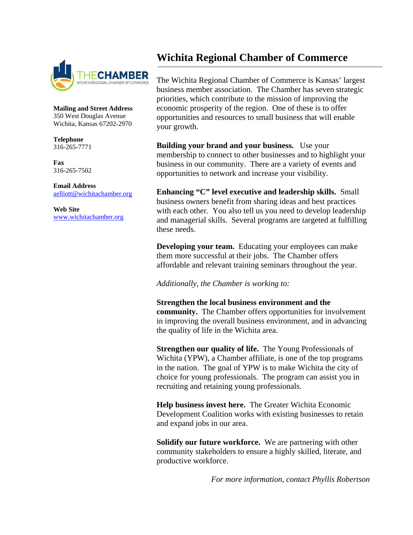

**Mailing and Street Address** 350 West Douglas Avenue Wichita, Kansas 67202-2970

**Telephone** 316-265-7771

**Fax** 316-265-7502

**Email Address** [aelliott@wichitachamber.org](mailto:aelliott@wichitachamber.org)

**Web Site** [www.wichitachamber.org](http://www.wichitachamber.org/)

### **Wichita Regional Chamber of Commerce**

The Wichita Regional Chamber of Commerce is Kansas' largest business member association. The Chamber has seven strategic priorities, which contribute to the mission of improving the economic prosperity of the region. One of these is to offer opportunities and resources to small business that will enable your growth.

**Building your brand and your business.** Use your membership to connect to other businesses and to highlight your business in our community. There are a variety of events and opportunities to network and increase your visibility.

**Enhancing "C" level executive and leadership skills.** Small business owners benefit from sharing ideas and best practices with each other. You also tell us you need to develop leadership and managerial skills. Several programs are targeted at fulfilling these needs.

**Developing your team.** Educating your employees can make them more successful at their jobs. The Chamber offers affordable and relevant training seminars throughout the year.

*Additionally, the Chamber is working to:*

**Strengthen the local business environment and the community.** The Chamber offers opportunities for involvement in improving the overall business environment, and in advancing the quality of life in the Wichita area.

**Strengthen our quality of life.** The Young Professionals of Wichita (YPW), a Chamber affiliate, is one of the top programs in the nation. The goal of YPW is to make Wichita the city of choice for young professionals. The program can assist you in recruiting and retaining young professionals.

**Help business invest here.** The Greater Wichita Economic Development Coalition works with existing businesses to retain and expand jobs in our area.

**Solidify our future workforce.** We are partnering with other community stakeholders to ensure a highly skilled, literate, and productive workforce.

 *For more information, contact Phyllis Robertson*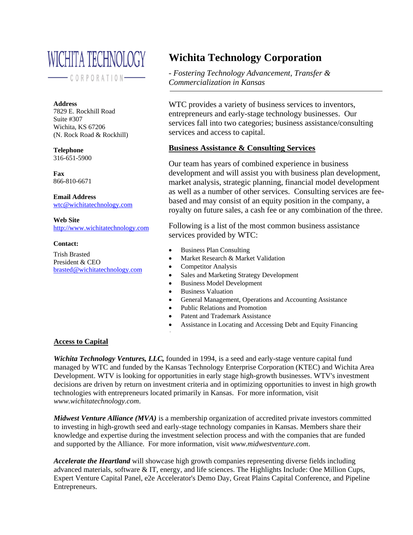

 $\frac{1}{1} \leftarrow \frac{1}{1} \leftarrow \frac{1}{1} \leftarrow \frac{1}{1} \leftarrow \frac{1}{1} \leftarrow \frac{1}{1} \leftarrow \frac{1}{1} \leftarrow \frac{1}{1} \leftarrow \frac{1}{1} \leftarrow \frac{1}{1} \leftarrow \frac{1}{1} \leftarrow \frac{1}{1} \leftarrow \frac{1}{1} \leftarrow \frac{1}{1} \leftarrow \frac{1}{1} \leftarrow \frac{1}{1} \leftarrow \frac{1}{1} \leftarrow \frac{1}{1} \leftarrow \frac{1}{1} \leftarrow \frac{1}{1} \leftarrow \frac{1}{1} \leftarrow \frac{1}{1} \leftarrow$ 

#### **Address**

7829 E. Rockhill Road Suite #307 Wichita, KS 67206 (N. Rock Road & Rockhill)

**Telephone** 316-651-5900

**Fax** 866-810-6671

**Email Address** [wtc@wichitatechnology.com](mailto:ksbdc@wichita.edu)

**Web Site** [http://www.wichitatechnology.com](http://www.wichitatechnology.com/)

### **Contact:**

Trish Brasted President & CEO [brasted@wichitatechnology.com](mailto:brasted@wichitatechnology.com)

### **Wichita Technology Corporation**

- *Fostering Technology Advancement, Transfer & Commercialization in Kansas*

WTC provides a variety of business services to inventors, entrepreneurs and early-stage technology businesses. Our services fall into two categories; business assistance/consulting services and access to capital.

### **Business Assistance & Consulting Services**

Our team has years of combined experience in business development and will assist you with business plan development, market analysis, strategic planning, financial model development as well as a number of other services. Consulting services are feebased and may consist of an equity position in the company, a royalty on future sales, a cash fee or any combination of the three.

Following is a list of the most common business assistance services provided by WTC:

- Business Plan Consulting
- Market Research & Market Validation
- Competitor Analysis
- Sales and Marketing Strategy Development
- Business Model Development
- Business Valuation

•

- General Management, Operations and Accounting Assistance
- Public Relations and Promotion
- Patent and Trademark Assistance
- Assistance in Locating and Accessing Debt and Equity Financing

### **Access to Capital**

*Wichita Technology Ventures, LLC,* founded in 1994, is a seed and early-stage venture capital fund managed by WTC and funded by the Kansas Technology Enterprise Corporation (KTEC) and Wichita Area Development. WTV is looking for opportunities in early stage high-growth businesses. WTV's investment decisions are driven by return on investment criteria and in optimizing opportunities to invest in high growth technologies with entrepreneurs located primarily in Kansas. For more information, visit *www.wichitatechnology.com*.

*Midwest Venture Alliance (MVA)* is a membership organization of accredited private investors committed to investing in high-growth seed and early-stage technology companies in Kansas. Members share their knowledge and expertise during the investment selection process and with the companies that are funded and supported by the Alliance. For more information, visit *www.midwestventure.com*.

*Accelerate the Heartland* will showcase high growth companies representing diverse fields including advanced materials, software & IT, energy, and life sciences. The Highlights Include: One Million Cups, Expert Venture Capital Panel, e2e Accelerator's Demo Day, Great Plains Capital Conference, and Pipeline Entrepreneurs.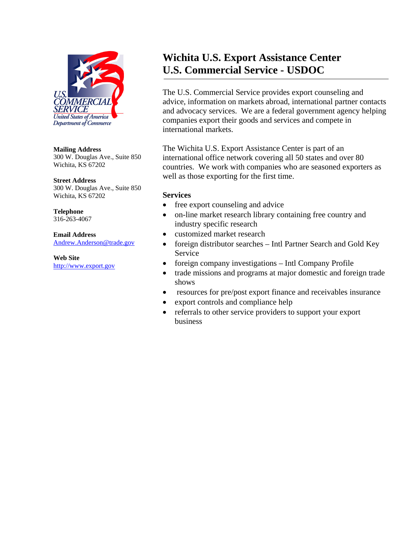

#### **Mailing Address**

300 W. Douglas Ave., Suite 850 Wichita, KS 67202

### **Street Address**

300 W. Douglas Ave., Suite 850 Wichita, KS 67202

**Telephone** 316-263-4067

**Email Address** [Andrew.Anderson@trade.gov](mailto:Andrew.Anderson@trade.gov)

**Web Site** [http://www.export.gov](http://www.export.gov/)

### **Wichita U.S. Export Assistance Center U.S. Commercial Service - USDOC**

The U.S. Commercial Service provides export counseling and advice, information on markets abroad, international partner contacts and advocacy services. We are a federal government agency helping companies export their goods and services and compete in international markets.

The Wichita U.S. Export Assistance Center is part of an international office network covering all 50 states and over 80 countries. We work with companies who are seasoned exporters as well as those exporting for the first time.

### **Services**

- free export counseling and advice
- on-line market research library containing free country and industry specific research
- customized market research
- foreign distributor searches Intl Partner Search and Gold Key Service
- foreign company investigations Intl Company Profile
- trade missions and programs at major domestic and foreign trade shows
- resources for pre/post export finance and receivables insurance
- export controls and compliance help
- referrals to other service providers to support your export business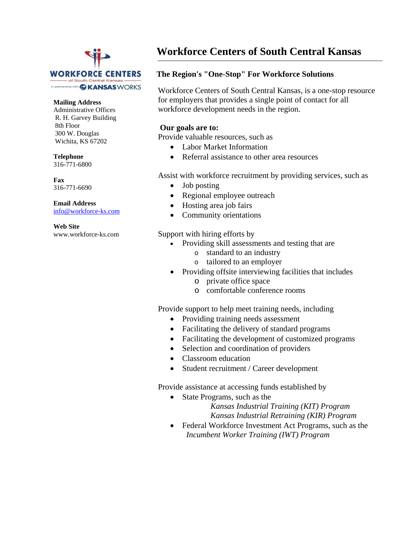## **WORKFORCE CENTERS** - of South Central Kansa In partnership with GKANSAS WORKS

#### **Mailing Address**

Administrative Offices R. H. Garvey Building 8th Floor 300 W. Douglas Wichita, KS 67202

### **Telephone**

316-771-6800

**Fax** 316-771-6690

**Email Address** [info@workforce-ks.com](mailto:info@workforce-ks.com)

**Web Site** www.workforce-ks.com

### **Workforce Centers of South Central Kansas**

### **The Region's "One-Stop" For Workforce Solutions**

Workforce Centers of South Central Kansas, is a one-stop resource for employers that provides a single point of contact for all workforce development needs in the region.

### **Our goals are to:**

Provide valuable resources, such as

- Labor Market Information
- Referral assistance to other area resources

Assist with workforce recruitment by providing services, such as

- Job posting
- Regional employee outreach
- Hosting area job fairs
- Community orientations

Support with hiring efforts by

- Providing skill assessments and testing that are
	- o standard to an industry
	- o tailored to an employer
- Providing offsite interviewing facilities that includes
	- o private office space
	- o comfortable conference rooms

Provide support to help meet training needs, including

- Providing training needs assessment
- Facilitating the delivery of standard programs
- Facilitating the development of customized programs
- Selection and coordination of providers
- Classroom education
- Student recruitment / Career development

Provide assistance at accessing funds established by

• State Programs, such as the *Kansas Industrial Training (KIT) Program*

 *Kansas Industrial Retraining (KIR) Program*

• Federal Workforce Investment Act Programs, such as the *Incumbent Worker Training (IWT) Program*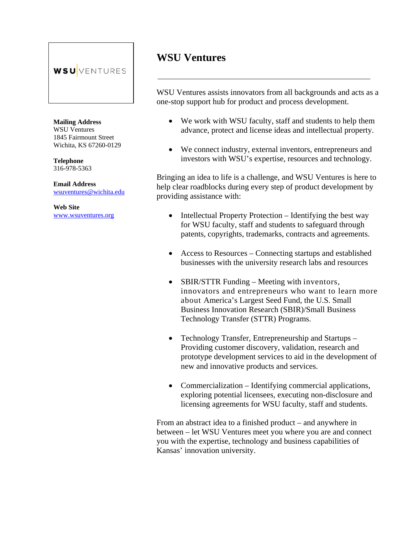### **WSU**VENTURES

**Mailing Address** WSU Ventures 1845 Fairmount Street Wichita, KS 67260-0129

**Telephone** 316-978-5363

**Email Address**  [wsuventures@wichita.edu](mailto:wsuventures@wichita.edu)

**Web Site** [www.wsuventures.org](http://www.wsuventures.org/)

### **WSU Ventures**

WSU Ventures assists innovators from all backgrounds and acts as a one-stop support hub for product and process development.

- We work with WSU faculty, staff and students to help them advance, protect and license ideas and intellectual property.
- We connect industry, external inventors, entrepreneurs and investors with WSU's expertise, resources and technology.

Bringing an idea to life is a challenge, and WSU Ventures is here to help clear roadblocks during every step of product development by providing assistance with:

- Intellectual Property Protection Identifying the best way for WSU faculty, staff and students to safeguard through patents, copyrights, trademarks, contracts and agreements.
- Access to Resources Connecting startups and established businesses with the university research labs and resources
- SBIR/STTR Funding Meeting with inventors, innovators and entrepreneurs who want to learn more about America's Largest Seed Fund, the U.S. Small Business Innovation Research (SBIR)/Small Business Technology Transfer (STTR) Programs.
- Technology Transfer, Entrepreneurship and Startups Providing customer discovery, validation, research and prototype development services to aid in the development of new and innovative products and services.
- Commercialization Identifying commercial applications, exploring potential licensees, executing non-disclosure and licensing agreements for WSU faculty, staff and students.

From an abstract idea to a finished product – and anywhere in between – let WSU Ventures meet you where you are and connect you with the expertise, technology and business capabilities of Kansas' innovation university.